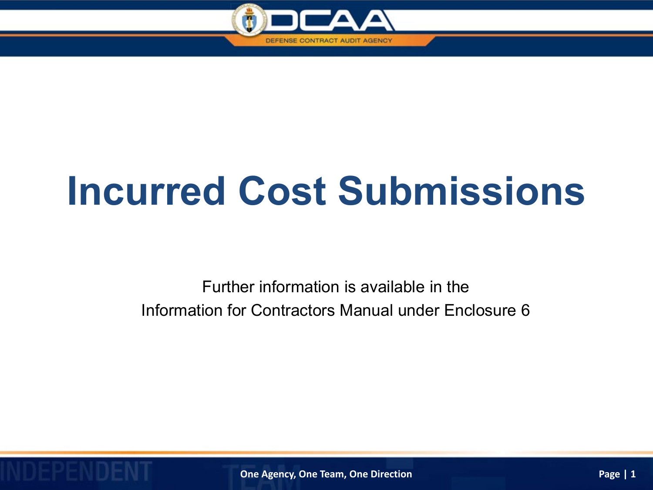

# **Incurred Cost Submissions**

Further information is available in the Information for Contractors Manual under Enclosure 6

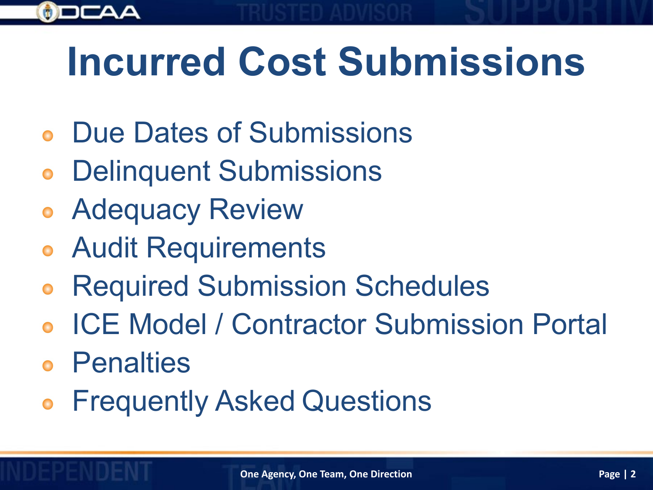

- Due Dates of Submissions
- Delinquent Submissions
- Adequacy Review
- Audit Requirements
- Required Submission Schedules
- ICE Model / Contractor Submission Portal
- Penalties
- Frequently Asked Questions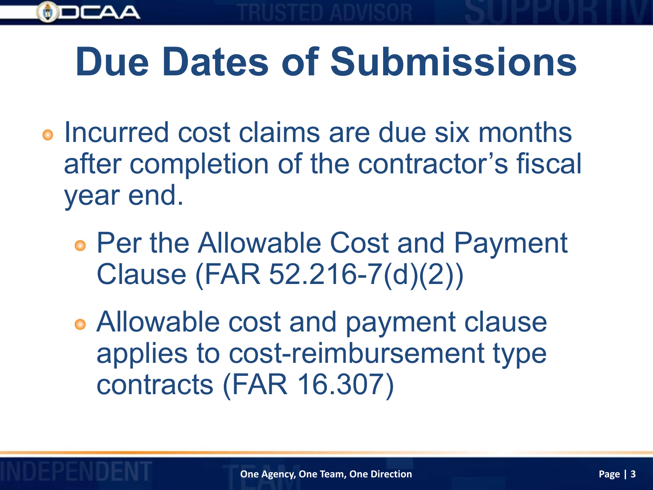

# **Due Dates of Submissions**

- o Incurred cost claims are due six months after completion of the contractor's fiscal year end.
	- Per the Allowable Cost and Payment Clause (FAR 52.216-7(d)(2))
	- Allowable cost and payment clause applies to cost-reimbursement type contracts (FAR 16.307)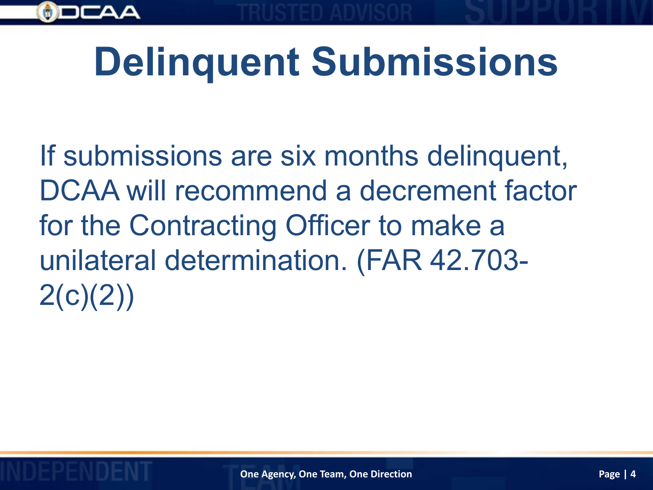

# **Delinquent Submissions**

If submissions are six months delinquent, DCAA will recommend a decrement factor for the Contracting Officer to make a unilateral determination. (FAR 42.703-  $2(c)(2))$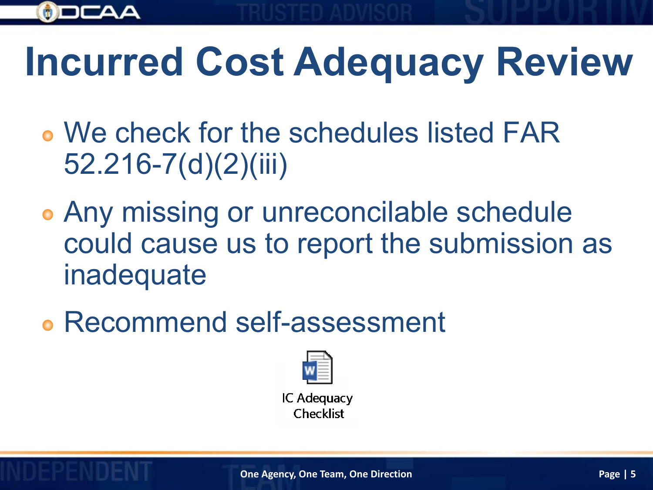

# **Incurred Cost Adequacy Review**

- We check for the schedules listed FAR 52.216-7(d)(2)(iii)
- Any missing or unreconcilable schedule could cause us to report the submission as inadequate
- Recommend self-assessment



IC Adequacy Checklist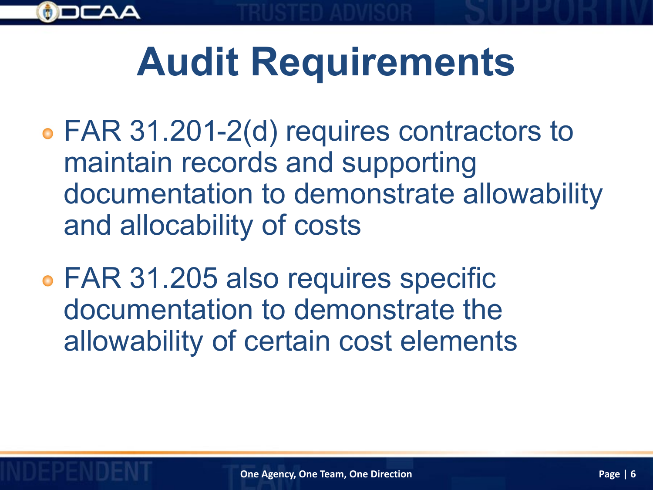

# **Audit Requirements**

- FAR 31.201-2(d) requires contractors to maintain records and supporting documentation to demonstrate allowability and allocability of costs
- FAR 31.205 also requires specific documentation to demonstrate the allowability of certain cost elements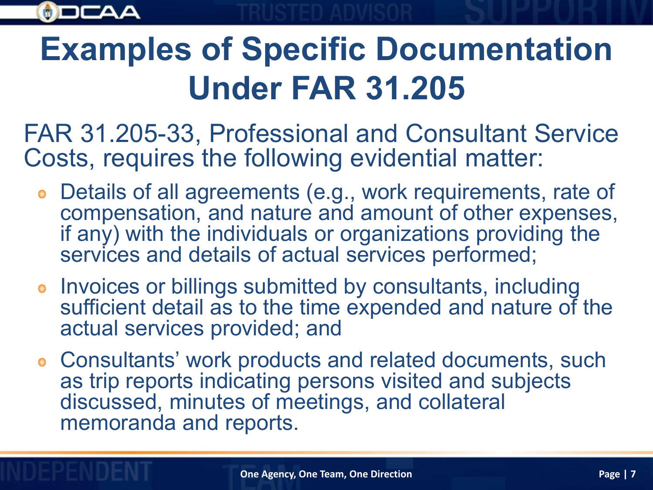

## **Examples of Specific Documentation Under FAR 31.205**

FAR 31.205-33, Professional and Consultant Service Costs, requires the following evidential matter:

- Details of all agreements (e.g., work requirements, rate of compensation, and nature and amount of other expenses, if any) with the individuals or organizations providing the services and details of actual services performed;
- **.** Invoices or billings submitted by consultants, including sufficient detail as to the time expended and nature of the actual services provided; and
- Consultants' work products and related documents, such as trip reports indicating persons visited and subjects discussed, minutes of meetings, and collateral memoranda and reports.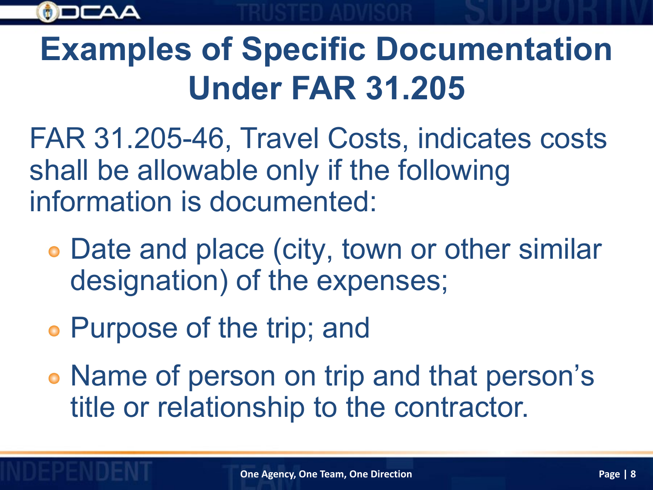

## **Examples of Specific Documentation Under FAR 31.205**

FAR 31.205-46, Travel Costs, indicates costs shall be allowable only if the following information is documented:

- Date and place (city, town or other similar designation) of the expenses;
- Purpose of the trip; and

Name of person on trip and that person's title or relationship to the contractor.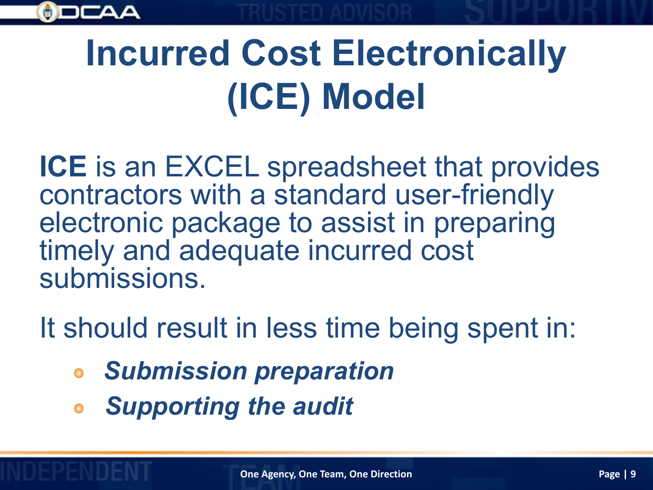

# **Incurred Cost Electronically (ICE) Model**

**ICE** is an EXCEL spreadsheet that provides contractors with a standard user-friendly electronic package to assist in preparing timely and adequate incurred cost submissions.

It should result in less time being spent in:

- *Submission preparation*
- *Supporting the audit*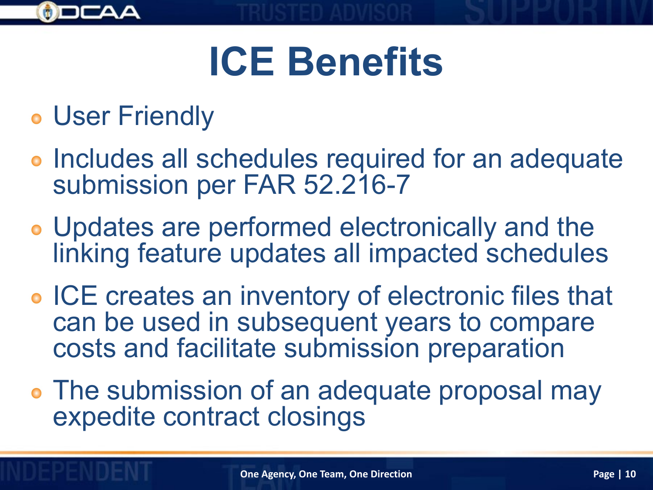

# **ICE Benefits**

- User Friendly
- **.** Includes all schedules required for an adequate submission per FAR 52.216-7
- Updates are performed electronically and the linking feature updates all impacted schedules
- **ICE creates an inventory of electronic files that** can be used in subsequent years to compare costs and facilitate submission preparation
- The submission of an adequate proposal may expedite contract closings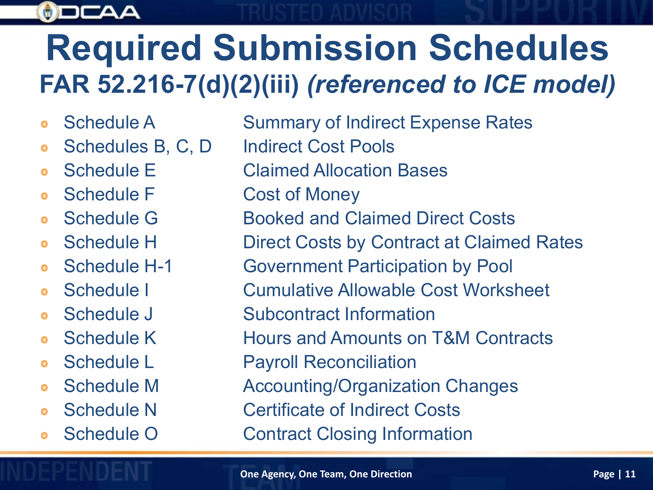### $\phi$ )

# **Required Submission Schedules FAR 52.216-7(d)(2)(iii)** *(referenced to ICE model)*

- $\bullet$
- $\bullet$
- $\bullet$
- $\bullet$
- $\bullet$
- $\bullet$
- $\bullet$
- $\bullet$
- $\bullet$
- $\bullet$
- $\bullet$
- $\bullet$
- $\bullet$
- Schedule O Contract Closing Information  $\bullet$

Schedule A Summary of Indirect Expense Rates Schedules B, C, D Indirect Cost Pools Schedule E Claimed Allocation Bases Schedule F Cost of Money Schedule G Booked and Claimed Direct Costs Schedule H Direct Costs by Contract at Claimed Rates Schedule H-1 Government Participation by Pool Schedule I Cumulative Allowable Cost Worksheet Schedule J Subcontract Information Schedule K **Hours and Amounts on T&M Contracts** Schedule L Payroll Reconciliation Schedule M **Accounting/Organization Changes** Schedule N Certificate of Indirect Costs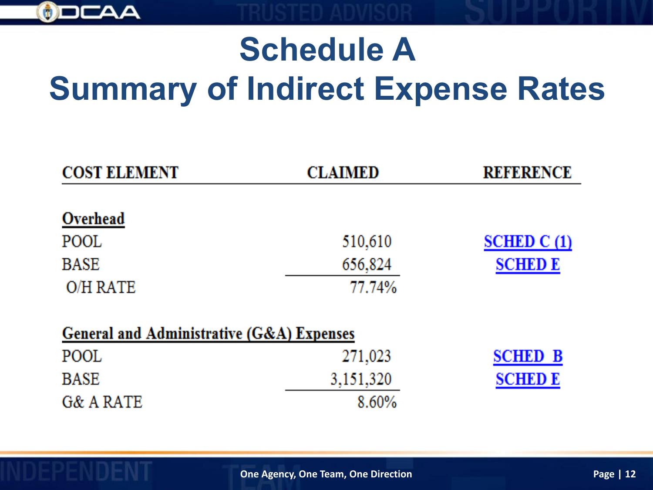

# **Schedule A Summary of Indirect Expense Rates**

| <b>COST ELEMENT</b>                       | <b>CLAIMED</b> | <b>REFERENCE</b> |
|-------------------------------------------|----------------|------------------|
| Overhead                                  |                |                  |
| POOL                                      | 510,610        | SCHED C (1)      |
| <b>BASE</b>                               | 656,824        | <b>SCHED E</b>   |
| O/H RATE                                  | 77.74%         |                  |
| General and Administrative (G&A) Expenses |                |                  |
| POOL                                      | 271,023        | <b>SCHED B</b>   |
| <b>BASE</b>                               | 3,151,320      | <b>SCHED E</b>   |
| G& A RATE                                 | 8.60%          |                  |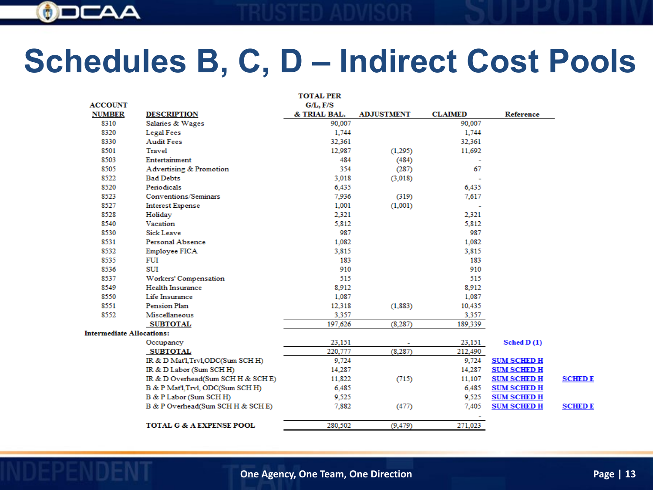

## **Schedules B, C, D – Indirect Cost Pools**

|                                  |                                     | <b>TOTAL PER</b> |                   |                |                    |                |
|----------------------------------|-------------------------------------|------------------|-------------------|----------------|--------------------|----------------|
| <b>ACCOUNT</b>                   |                                     | G/L, F/S         |                   |                |                    |                |
| <b>NUMBER</b>                    | <b>DESCRIPTION</b>                  | & TRIAL BAL.     | <b>ADJUSTMENT</b> | <b>CLAIMED</b> | Reference          |                |
| 8310                             | Salaries & Wages                    | 90,007           |                   | 90,007         |                    |                |
| 8320                             | Legal Fees                          | 1,744            |                   | 1,744          |                    |                |
| 8330                             | <b>Audit Fees</b>                   | 32,361           |                   | 32,361         |                    |                |
| 8501                             | Travel                              | 12,987           | (1,295)           | 11,692         |                    |                |
| 8503                             | Entertainment                       | 484              | (484)             |                |                    |                |
| 8505                             | Advertising & Promotion             | 354              | (287)             | 67             |                    |                |
| 8522                             | <b>Bad Debts</b>                    | 3,018            | (3,018)           |                |                    |                |
| 8520                             | Periodicals                         | 6,435            |                   | 6,435          |                    |                |
| 8523                             | Conventions/Seminars                | 7,936            | (319)             | 7,617          |                    |                |
| 8527                             | <b>Interest Expense</b>             | 1,001            | (1,001)           |                |                    |                |
| 8528                             | Holiday                             | 2,321            |                   | 2,321          |                    |                |
| 8540                             | Vacation                            | 5,812            |                   | 5,812          |                    |                |
| 8530                             | <b>Sick Leave</b>                   | 987              |                   | 987            |                    |                |
| 8531                             | Personal Absence                    | 1,082            |                   | 1,082          |                    |                |
| 8532                             | Employee FICA                       | 3,815            |                   | 3,815          |                    |                |
| 8535                             | FUI                                 | 183              |                   | 183            |                    |                |
| 8536                             | <b>SUI</b>                          | 910              |                   | 910            |                    |                |
| 8537                             | Workers' Compensation               | 515              |                   | 515            |                    |                |
| 8549                             | <b>Health Insurance</b>             | 8,912            |                   | 8,912          |                    |                |
| 8550                             | Life Insurance                      | 1,087            |                   | 1,087          |                    |                |
| 8551                             | Pension Plan                        | 12,318           | (1, 883)          | 10,435         |                    |                |
| 8552                             | Miscellaneous                       | 3,357            |                   | 3,357          |                    |                |
|                                  | <b>SUBTOTAL</b>                     | 197,626          | (8, 287)          | 189,339        |                    |                |
| <b>Intermediate Allocations:</b> |                                     |                  |                   |                |                    |                |
|                                  | Occupancy                           | 23,151           |                   | 23,151         | Sched $D(1)$       |                |
|                                  | <b>SUBTOTAL</b>                     | 220,777          | (8, 287)          | 212,490        |                    |                |
|                                  | IR & D Mat'l, Trvl, ODC(Sum SCH H)  | 9,724            |                   | 9,724          | <b>SUM SCHED H</b> |                |
|                                  | IR & D Labor (Sum SCH H)            | 14,287           |                   | 14,287         | <b>SUM SCHED H</b> |                |
|                                  | IR & D Overhead(Sum SCH H & SCH E)  | 11,822           | (715)             | 11,107         | <b>SUM SCHED H</b> | <b>SCHED E</b> |
|                                  | B & P Mat'l, Trvl, ODC(Sum SCH H)   | 6,485            |                   | 6,485          | <b>SUM SCHED H</b> |                |
|                                  | B & P Labor (Sum SCH H)             | 9,525            |                   | 9,525          | <b>SUM SCHED H</b> |                |
|                                  | B & P Overhead(Sum SCH H & SCH E)   | 7,882            | (477)             | 7,405          | <b>SUM SCHED H</b> | <b>SCHED E</b> |
|                                  |                                     |                  |                   |                |                    |                |
|                                  | <b>TOTAL G &amp; A EXPENSE POOL</b> | 280,502          | (9, 479)          | 271,023        |                    |                |

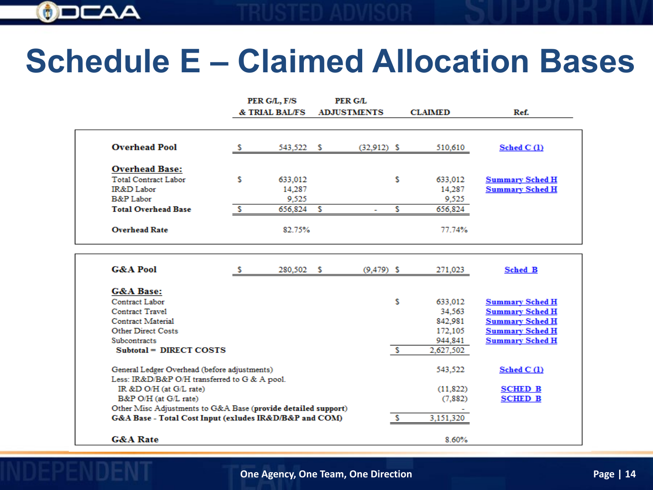

## **Schedule E – Claimed Allocation Bases**

|                             |   | PER G/L, F/S   |   | PER G/L            |   |                |                        |
|-----------------------------|---|----------------|---|--------------------|---|----------------|------------------------|
|                             |   | & TRIAL BAL/FS |   | <b>ADJUSTMENTS</b> |   | <b>CLAIMED</b> | Ref.                   |
| <b>Overhead Pool</b>        |   | 543,522 \$     |   | $(32,912)$ \$      |   | 510,610        | Sched $C(1)$           |
| <b>Overhead Base:</b>       |   |                |   |                    |   |                |                        |
| <b>Total Contract Labor</b> | s | 633,012        |   |                    | s | 633,012        | <b>Summary Sched H</b> |
| IR&D Labor                  |   | 14,287         |   |                    |   | 14,287         | <b>Summary Sched H</b> |
| B&P Labor                   |   | 9,525          |   |                    |   | 9,525          |                        |
| <b>Total Overhead Base</b>  |   | 656,824        | R |                    |   | 656,824        |                        |
| <b>Overhead Rate</b>        |   | 82.75%         |   |                    |   | 77.74%         |                        |

| <b>G&amp;A Pool</b>                                           | 280,502 \$ | $(9, 479)$ \$ |   | 271,023   | <b>Sched B</b>         |
|---------------------------------------------------------------|------------|---------------|---|-----------|------------------------|
| <b>G&amp;A Base:</b>                                          |            |               |   |           |                        |
| Contract Labor                                                |            |               | s | 633,012   | <b>Summary Sched H</b> |
| Contract Travel                                               |            |               |   | 34.563    | Summary Sched H        |
| Contract Material                                             |            |               |   | 842.981   | <b>Summary Sched H</b> |
| <b>Other Direct Costs</b>                                     |            |               |   | 172,105   | <b>Summary Sched H</b> |
| <b>Subcontracts</b>                                           |            |               |   | 944,841   | <b>Summary Sched H</b> |
| Subtotal = DIRECT COSTS                                       |            |               |   | 2.627.502 |                        |
| General Ledger Overhead (before adjustments)                  |            |               |   | 543.522   | Sched C <sub>(1)</sub> |
| Less: IR&D/B&P O/H transferred to G & A pool.                 |            |               |   |           |                        |
| IR &D O/H (at G/L rate)                                       |            |               |   | (11.822)  | <b>SCHED B</b>         |
| B&P O/H (at G/L rate)                                         |            |               |   | (7,882)   | <b>SCHED B</b>         |
| Other Misc Adjustments to G&A Base (provide detailed support) |            |               |   |           |                        |
| G&A Base - Total Cost Input (exludes IR&D/B&P and COM)        |            |               |   | 3,151,320 |                        |
| <b>G&amp;A Rate</b>                                           |            |               |   | 8.60%     |                        |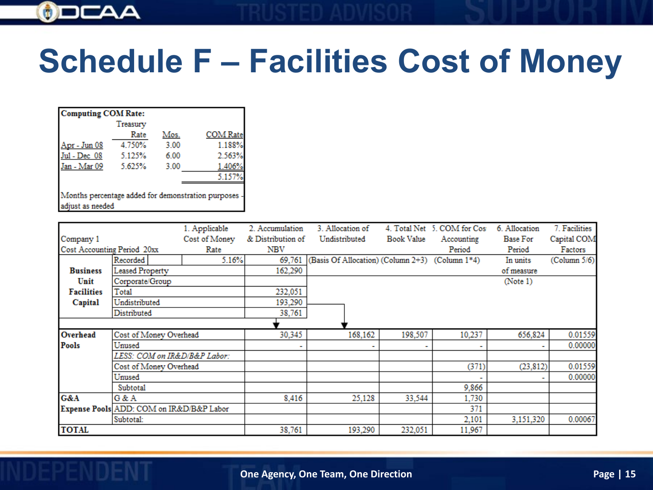

# **Schedule F – Facilities Cost of Money**

| <b>Computing COM Rate:</b>                                               |          |      |                 |
|--------------------------------------------------------------------------|----------|------|-----------------|
|                                                                          | Treasury |      |                 |
|                                                                          | Rate     | Mos. | <b>COM Rate</b> |
| <u> Apr - Jun 08</u>                                                     | 4.750%   | 3.00 | 1.188%          |
| Jul - Dec 08                                                             | 5.125%   | 6.00 | 2.563%          |
| Jan - Mar 09                                                             | 5.625%   | 3.00 | 1.406%          |
|                                                                          |          |      | 5.157%          |
| Months percentage added for demonstration purposes -<br>adjust as needed |          |      |                 |

|                             |                                          | 1. Applicable | 2. Accumulation   | 3. Allocation of                                |            | 4. Total Net 5. COM for Cos | 6. Allocation | 7. Facilities |
|-----------------------------|------------------------------------------|---------------|-------------------|-------------------------------------------------|------------|-----------------------------|---------------|---------------|
| Company 1                   |                                          | Cost of Money | & Distribution of | Undistributed                                   | Book Value | Accounting                  | Base For      | Capital COM   |
| Cost Accounting Period 20xx |                                          | Rate          | NBV               |                                                 |            | Period                      | Period        | Factors       |
|                             | Recorded                                 | 5.16%         | 69,761            | (Basis Of Allocation) (Column 2+3) (Column 1*4) |            |                             | In units      | (Column 5/6)  |
| <b>Business</b>             | Leased Property                          |               | 162,290           |                                                 |            |                             | of measure    |               |
| Unit                        | Corporate/Group                          |               |                   |                                                 |            |                             | (Note 1)      |               |
| <b>Facilities</b>           | Total                                    |               | 232,051           |                                                 |            |                             |               |               |
| Capital                     | Undistributed                            |               | 193,290           |                                                 |            |                             |               |               |
|                             | Distributed                              |               | 38,761            |                                                 |            |                             |               |               |
|                             |                                          |               |                   |                                                 |            |                             |               |               |
| Overhead                    | Cost of Money Overhead                   |               | 30,345            | 168,162                                         | 198,507    | 10,237                      | 656,824       | 0.01559       |
| Pools                       | Unused                                   |               |                   |                                                 |            |                             |               | 0.00000       |
|                             | LESS: COM on IR&D/B&P Labor:             |               |                   |                                                 |            |                             |               |               |
|                             | Cost of Money Overhead                   |               |                   |                                                 |            | (371)                       | (23, 812)     | 0.01559       |
|                             | Unused                                   |               |                   |                                                 |            |                             |               | 0.00000       |
|                             | Subtotal                                 |               |                   |                                                 |            | 9,866                       |               |               |
| G&A                         | G & A                                    |               | 8,416             | 25,128                                          | 33,544     | 1,730                       |               |               |
|                             | Expense Pools ADD: COM on IR&D/B&P Labor |               |                   |                                                 |            | 371                         |               |               |
|                             | Subtotal:                                |               |                   |                                                 |            | 2,101                       | 3,151,320     | 0.00067       |
| <b>TOTAL</b>                |                                          |               | 38.761            | 193.290                                         | 232.051    | 11,967                      |               |               |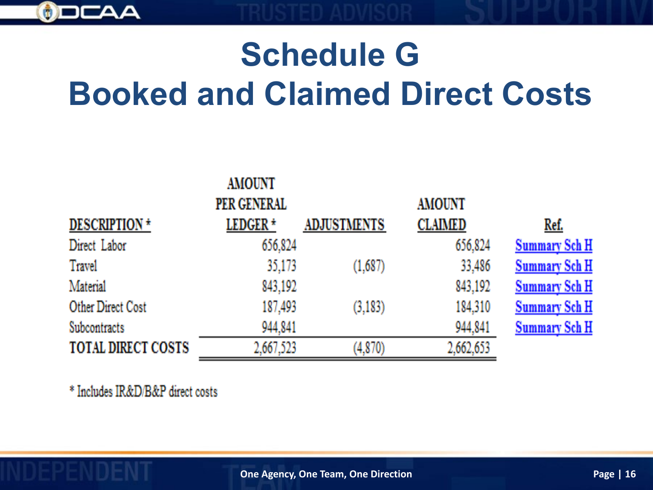

# **Schedule G Booked and Claimed Direct Costs**

| <b>AMOUNT</b>       |                    |                |                      |
|---------------------|--------------------|----------------|----------------------|
| PER GENERAL         |                    | <b>AMOUNT</b>  |                      |
| LEDGER <sup>+</sup> | <b>ADJUSTMENTS</b> | <b>CLAIMED</b> | Ref.                 |
| 656,824             |                    | 656,824        | <b>Summary Sch H</b> |
| 35,173              | (1,687)            | 33,486         | <b>Summary Sch H</b> |
| 843,192             |                    | 843,192        | <b>Summary Sch H</b> |
| 187,493             | (3,183)            | 184,310        | <b>Summary Sch H</b> |
| 944,841             |                    | 944,841        | <b>Summary Sch H</b> |
| 2,667,523           | (4,870)            | 2,662,653      |                      |
|                     |                    |                |                      |

\* Includes IR&D/B&P direct costs

**One Agency, One Team, One Direction**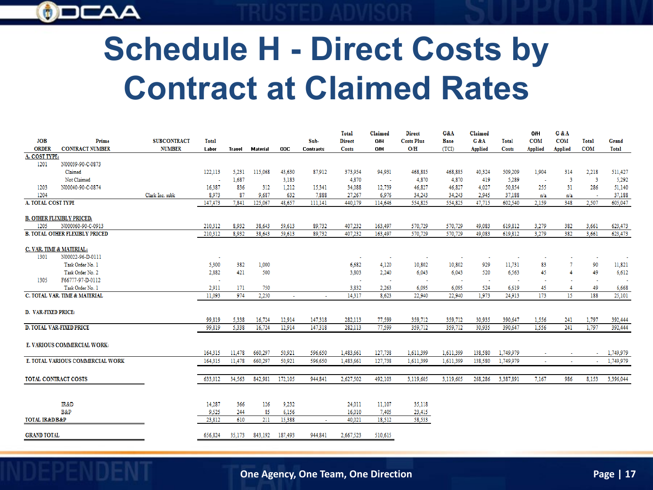

# **Schedule H - Direct Costs by Contract at Claimed Rates**

|                               |                                       |                    |         |        |          |         |                  | Total         | Claimed | <b>Direct</b>     | G&A         | Claimed |              | O/H        | G & A      |            |                       |
|-------------------------------|---------------------------------------|--------------------|---------|--------|----------|---------|------------------|---------------|---------|-------------------|-------------|---------|--------------|------------|------------|------------|-----------------------|
| <b>JOB</b>                    | Prime                                 | <b>SUBCONTRACT</b> | Total   |        |          |         | Sub-             | <b>Direct</b> | O/H     | <b>Costs Plus</b> | <b>Base</b> | G&A     | Total        | <b>COM</b> | <b>COM</b> | Total      | Grand                 |
| <b>ORDER</b>                  | <b>CONTRACT NUMBER</b>                | <b>NUMBER</b>      | Labor   | Travel | Material | ODC     | <b>Contracts</b> | Costs         | O/H     | O/H               | (TCI)       | Applied | <b>Costs</b> | Applied    | Applied    | <b>COM</b> | Total                 |
| A. COST TYPE:                 |                                       |                    |         |        |          |         |                  |               |         |                   |             |         |              |            |            |            |                       |
| 1201                          | N00039-90-C-0873                      |                    |         |        |          |         |                  |               |         |                   |             |         |              |            |            |            |                       |
|                               | Claimed                               |                    | 122,113 | 5.231  | 115,068  | 43,630  | 87,912           | 373,954       | 94,931  | 468,885           | 468,885     | 40,324  | 509,209      | 1,904      | 314        | 2,218      | 511,427               |
|                               | Not Claimed                           |                    | ×       | 1,687  |          | 3,183   |                  | 4,870         | $\sim$  | 4,870             | 4.870       | 419     | 5,289        | $\sim$     | -3         | -3         | 5,292                 |
| 1203                          | N00040-90-C-0874                      |                    | 16,387  | 836    | 312      | 1,212   | 15,341           | 34,088        | 12,739  | 46,827            | 46,827      | 4,027   | 50.854       | 255        | 31         | 286        | 51,140                |
| 1204                          |                                       | Clark Inc. subk    | 8,973   | 87     | 9,687    | 632     | 7,888            | 27,267        | 6,976   | 34.243            | 34.243      | 2,945   | 37,188       | n/a        | n/a        | ч.         | 37,188                |
| A. TOTAL COST TYPE            |                                       |                    | 147,473 | 7,841  | 125,067  | 48,657  | 111,141          | 440,179       | 114,646 | 554,825           | 554,825     | 47,715  | 602,540      | 2,159      | 348        | 2,507      | 605,047               |
|                               | <b>B. OTHER FLEXIBLY PRICED:</b>      |                    |         |        |          |         |                  |               |         |                   |             |         |              |            |            |            |                       |
| 1205                          | N000060-90-C-0913                     |                    | 210,312 | 8,932  | 38,643   | 59,613  | 89,732           | 407,232       | 163,497 | 570,729           | 570,729     | 49,083  | 619,812      | 3,279      | 382        | 3,661      | 623,473               |
|                               | <b>B. TOTAL OTHER FLEXIBLY PRICED</b> |                    | 210.312 | 8.932  | 38.643   | 59,613  | 89,732           | 407,232       | 163,497 | 570.729           | 570.729     | 49.083  | 619,812      | 3.279      | 382        | 3,661      | 623,473               |
|                               |                                       |                    |         |        |          |         |                  |               |         |                   |             |         |              |            |            |            |                       |
|                               | C. VAR. TIME & MATERIAL:              |                    |         |        |          |         |                  |               |         |                   |             |         |              |            |            |            |                       |
| 1301                          | N00022-96-D-0111                      |                    | ÷       |        |          |         |                  | ٠             | $\sim$  | $\sim$            | ×           | $\sim$  |              | ٠          |            | $\sim$     | $\tilde{\phantom{a}}$ |
|                               | Task Order No. 1                      |                    | 5,300   | 382    | 1,000    |         |                  | 6,682         | 4,120   | 10,802            | 10,802      | 929     | 11,731       | 83         |            | 90         | 11,821                |
|                               | Task Order No. 2                      |                    | 2,882   | 421    | 500      |         |                  | 3,803         | 2,240   | 6,043             | 6.043       | 520     | 6.563        | 45         |            | 49         | 6,612                 |
| 1305                          | F66777-97-D-0112                      |                    |         |        |          |         |                  | $\sim$        |         |                   |             | ×       |              |            |            | ×          |                       |
|                               | Task Order No. 1                      |                    | 2,911   | 171    | 750      |         |                  | 3,832         | 2,263   | 6,095             | 6,095       | 524     | 6,619        | 45         |            | 49         | 6,668                 |
|                               | C. TOTAL VAR. TIME & MATERIAL         |                    | 11,093  | 974    | 2,250    |         |                  | 14,317        | 8,623   | 22,940            | 22,940      | 1,973   | 24,913       | 173        | 15         | 188        | 25,101                |
|                               |                                       |                    |         |        |          |         |                  |               |         |                   |             |         |              |            |            |            |                       |
| D. VAR-FIXED PRICE:           |                                       |                    |         |        |          |         |                  |               |         |                   |             |         |              |            |            |            |                       |
|                               |                                       |                    | 99.819  | 5.338  | 16,724   | 12.914  | 147,318          | 282,113       | 77,599  | 359,712           | 359,712     | 30.935  | 390,647      | 1,556      | 241        | 1,797      | 392,444               |
|                               | <b>D. TOTAL VAR-FIXED PRICE</b>       |                    | 99,819  | 5,338  | 16,724   | 12,914  | 147,318          | 282,113       | 77,599  | 359,712           | 359,712     | 30,935  | 390,647      | 1,556      | 241        | 1,797      | 392,444               |
|                               |                                       |                    |         |        |          |         |                  |               |         |                   |             |         |              |            |            |            |                       |
|                               | E. VARIOUS COMMERCIAL WORK:           |                    |         |        |          |         |                  |               |         |                   |             |         |              |            |            |            |                       |
|                               |                                       |                    | 164,315 | 11,478 | 660,297  | 50,921  | 596,650          | 1,483,661     | 127,738 | 1,611,399         | 1.611.399   | 138,580 | 1,749,979    | $\sim$     | $\sim$     | $\sim$     | 1,749,979             |
|                               | E. TOTAL VARIOUS COMMERCIAL WORK      |                    | 164,315 | 11,478 | 660.297  | 50,921  | 596,650          | 1,483,661     | 127,738 | 1,611,399         | 1,611,399   | 138,580 | 1,749,979    | $\sim$     | $\sim$     | $\sim$     | 1,749,979             |
|                               |                                       |                    |         |        |          |         |                  |               |         |                   |             |         |              |            |            |            |                       |
|                               | <b>TOTAL CONTRACT COSTS</b>           |                    | 633,012 | 34,563 | 842,981  | 172,105 | 944,841          | 2,627,502     | 492,103 | 3,119,605         | 3,119,605   | 268,286 | 3,387,891    | 7,167      | 986        | 8,153      | 3,396,044             |
|                               |                                       |                    |         |        |          |         |                  |               |         |                   |             |         |              |            |            |            |                       |
|                               |                                       |                    |         |        |          |         |                  |               |         |                   |             |         |              |            |            |            |                       |
|                               | IR&D                                  |                    | 14.287  | 366    | 126      | 9,232   |                  | 24,011        | 11,107  | 35,118            |             |         |              |            |            |            |                       |
|                               | B&P                                   |                    | 9,525   | 244    | 85       | 6,156   |                  | 16,010        | 7,405   | 23,415            |             |         |              |            |            |            |                       |
| <b>TOTAL IR&amp;D/B&amp;P</b> |                                       |                    | 23,812  | 610    | 211      | 15,388  | ×.               | 40,021        | 18,512  | 58,533            |             |         |              |            |            |            |                       |
|                               |                                       |                    |         |        |          |         |                  |               |         |                   |             |         |              |            |            |            |                       |
| <b>GRAND TOTAL</b>            |                                       |                    | 656,824 | 35,173 | 843,192  | 187,493 | 944,841          | 2,667,523     | 510,615 |                   |             |         |              |            |            |            |                       |
|                               |                                       |                    |         |        |          |         |                  |               |         |                   |             |         |              |            |            |            |                       |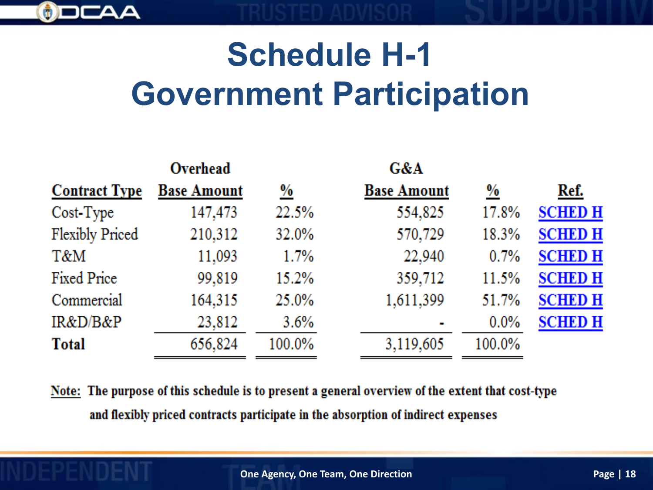

# **Schedule H-1 Government Participation**

|                        | Overhead           |          | G&A                |               |                |
|------------------------|--------------------|----------|--------------------|---------------|----------------|
| <b>Contract Type</b>   | <b>Base Amount</b> | <u>%</u> | <b>Base Amount</b> | $\frac{9}{6}$ | Ref.           |
| Cost-Type              | 147,473            | 22.5%    | 554,825            | 17.8%         | <b>SCHED H</b> |
| <b>Flexibly Priced</b> | 210,312            | 32.0%    | 570,729            | 18.3%         | <b>SCHED H</b> |
| T&M                    | 11,093             | 1.7%     | 22,940             | 0.7%          | <b>SCHED H</b> |
| Fixed Price            | 99,819             | 15.2%    | 359,712            | 11.5%         | <b>SCHED H</b> |
| Commercial             | 164,315            | 25.0%    | 1,611,399          | 51.7%         | <b>SCHED H</b> |
| IR&D/B&P               | 23,812             | 3.6%     |                    | $0.0\%$       | <b>SCHED H</b> |
| <b>Total</b>           | 656,824            | 100.0%   | 3,119,605          | 100.0%        |                |

Note: The purpose of this schedule is to present a general overview of the extent that cost-type and flexibly priced contracts participate in the absorption of indirect expenses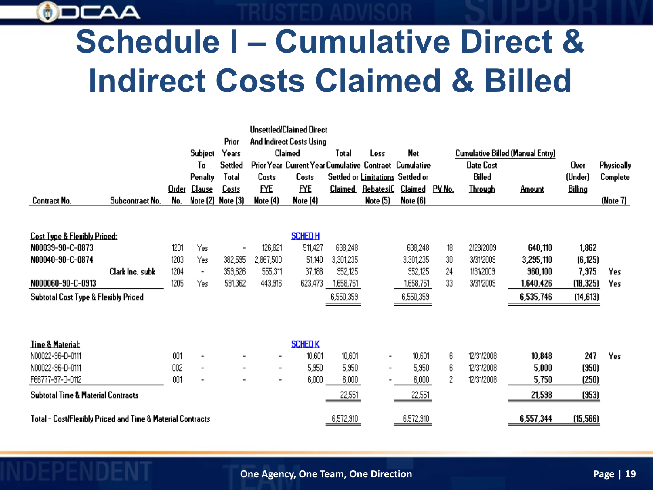

## **Schedule I – Cumulative Direct & Indirect Costs Claimed & Billed**

|                                                            |                 |       |                |                          |                          | <b>Unsettled/Claimed Direct</b>                        |                |                                   |               |        |                                         |               |           |            |
|------------------------------------------------------------|-----------------|-------|----------------|--------------------------|--------------------------|--------------------------------------------------------|----------------|-----------------------------------|---------------|--------|-----------------------------------------|---------------|-----------|------------|
|                                                            |                 |       |                | Prior                    |                          | And Indirect Costs Using                               |                |                                   |               |        |                                         |               |           |            |
|                                                            |                 |       | Subject        | Years                    |                          | Claimed                                                | Total          | Less                              | Net           |        | <b>Cumulative Billed (Manual Entry)</b> |               |           |            |
|                                                            |                 |       | To             | Settled                  |                          | Prior Year Current Year Cumulative Contract Cumulative |                |                                   |               |        | <b>Date Cost</b>                        |               | Over      | Physically |
|                                                            |                 |       | Penalty        | Total                    | Costs                    | Costs                                                  |                | Settled or Limitations Settled or |               |        | <b>Billed</b>                           |               | (Under)   | Complete   |
|                                                            |                 | Order | Clause         | Costs                    | EYE                      | EYE                                                    | <u>Claimed</u> | <u>Rebates/C</u>                  | Claimed       | PV No. | <b>Through</b>                          | <b>Amount</b> | Billing   |            |
| Contract No.                                               | Subcontract No. | No.   | Note (2)       | Note (3)                 | Note (4)                 | Note (4)                                               |                | Note (5)                          | Note (6)      |        |                                         |               |           | (Note 7)   |
|                                                            |                 |       |                |                          |                          |                                                        |                |                                   |               |        |                                         |               |           |            |
| <b>Cost Type &amp; Flexibly Priced:</b>                    |                 |       |                |                          |                          | <b>SCHEDH</b>                                          |                |                                   |               |        |                                         |               |           |            |
| N00039-90-C-0873                                           |                 | 1201  | Yes            | $\overline{\phantom{a}}$ | 126,821                  | 511,427                                                | 638,248        |                                   | 638,248       | 18     | 2/28/2009                               | 640,110       | 1,862     |            |
| N00040-90-C-0874                                           |                 | 1203  | Yes            | 382,595                  | 2,867,500                | 51,140                                                 | 3,301,235      |                                   | 3,301,235     | 30     | 3/31/2009                               | 3,295,110     | (6, 125)  |            |
|                                                            | Clark Inc. subk | 1204  | $\blacksquare$ | 359,626                  | 555,311                  | 37,188                                                 | 952,125        |                                   | 952,125       | 24     | 1/31/2009                               | 960,100       | 7,975     | Yes        |
| N000060-90-C-0913                                          |                 | 1205  | Yes            | 591,362                  | 443,916                  | 623,473                                                | 1,658,751      |                                   | 1,658,751     | 33     | 3/31/2009                               | 1,640,426     | (18, 325) | Yes        |
| <b>Subtotal Cost Type &amp; Flexibly Priced</b>            |                 |       |                |                          |                          |                                                        | 6,550,359      |                                   | 6,550,359     |        |                                         | 6,535,746     | (14, 613) |            |
|                                                            |                 |       |                |                          |                          |                                                        |                |                                   |               |        |                                         |               |           |            |
|                                                            |                 |       |                |                          |                          |                                                        |                |                                   |               |        |                                         |               |           |            |
|                                                            |                 |       |                |                          |                          |                                                        |                |                                   |               |        |                                         |               |           |            |
| <b>Time &amp; Material:</b>                                |                 |       |                |                          |                          | <b>SCHED K</b>                                         |                |                                   |               |        |                                         |               |           |            |
| N00022-96-D-0111                                           |                 | 001   |                |                          | $\overline{\phantom{a}}$ | 10,601                                                 | 10,601         |                                   | 10,601        | 6      | 12/31/2008                              | 10,848        | 247       | Yes        |
| N00022-96-D-0111                                           |                 | 002   | $\blacksquare$ |                          | $\blacksquare$           | 5,950                                                  | 5,950          |                                   | 5,950         | 6      | 12/31/2008                              | 5,000         | (950)     |            |
| F66777-97-D-0112                                           |                 | 001   |                |                          | $\blacksquare$           | 6,000                                                  | 6,000          |                                   | 6,000         | 2      | 12/31/2008                              | 5,750         | (250)     |            |
| <b>Subtotal Time &amp; Material Contracts</b>              |                 |       |                |                          |                          |                                                        | 22,551         |                                   | <u>22,551</u> |        |                                         | 21,598        | (953)     |            |
| Total - Cost/Flexibly Priced and Time & Material Contracts |                 |       |                |                          |                          |                                                        | 6,572,910      |                                   | 6,572,910     |        |                                         | 6,557,344     | (15, 566) |            |
|                                                            |                 |       |                |                          |                          |                                                        |                |                                   |               |        |                                         |               |           |            |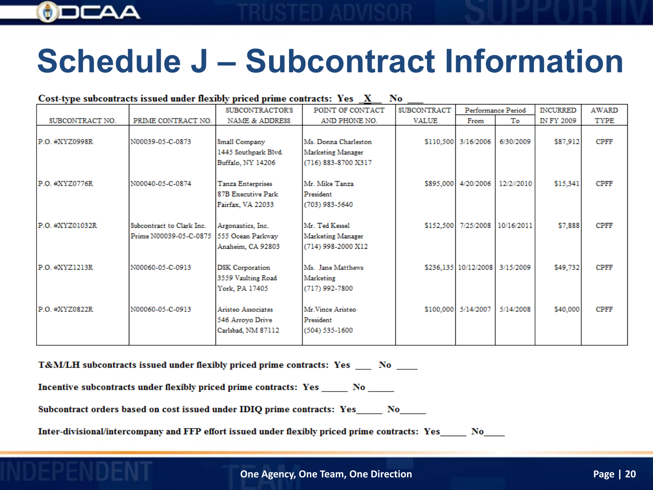

## **Schedule J – Subcontract Information**

#### Cost-type subcontracts issued under flexibly priced prime contracts: Yes X No

|                 |                                                     | SUBCONTRACTOR'S                                                | POINT OF CONTACT                                                 | <b>SUBCONTRACT</b> |                      | Performance Period             | <b>INCURRED</b> | AWARD       |
|-----------------|-----------------------------------------------------|----------------------------------------------------------------|------------------------------------------------------------------|--------------------|----------------------|--------------------------------|-----------------|-------------|
| SUBCONTRACT NO. | PRIME CONTRACT NO.                                  | <b>NAME &amp; ADDRESS</b>                                      | AND PHONE NO.                                                    | <b>VALUE</b>       | From                 | To                             | IN FY 2009      | TYPE        |
| P.O. #XYZ0998R  | N00039-05-C-0873                                    | Small Company<br>1445 Southpark Blvd.<br>Buffalo, NY 14206     | Ms. Donna Charleston<br>Marketing Manager<br>(716) 883-8700 X317 |                    | \$110,500 3/16/2006  | 6/30/2009                      | \$87,912        | <b>CPFF</b> |
| P.O. #XYZ0776R  | N00040-05-C-0874                                    | Tanza Enterprises<br>87B Executive Park<br>Fairfax, VA 22033   | Mr. Mike Tanza<br>President<br>(703) 983-5640                    |                    | \$895,000 4/20/2006  | 12/2//2010                     | \$15,341        | <b>CPFF</b> |
| P.O. #XYZ01032R | Subcontract to Clark Inc.<br>Prime N00039-05-C-0875 | Argonautics, Inc.<br>555 Ocean Parkway<br>Anaheim, CA 92803    | Mr. Ted Kessel<br>Marketing Manager<br>(714) 998-2000 X12        |                    |                      | \$152,500 7/25/2008 10/16/2011 | \$7,888         | <b>CPFF</b> |
| P.O. #XYZ1213R  | N00060-05-C-0913                                    | <b>DSK</b> Corporation<br>3559 Vaulting Road<br>York, PA 17405 | Ms. Jane Matthews<br>Marketing<br>(717) 992-7800                 |                    | \$236,135 10/12/2008 | 3/15/2009                      | \$49,732        | <b>CPFF</b> |
| P.O. #XYZ0822R  | N00060-05-C-0913                                    | Aristeo Associates<br>546 Arroyo Drive<br>Carlsbad, NM 87112   | Mr.Vince Aristeo<br>President<br>$(504) 535 - 1600$              |                    | \$100,000 5/14/2007  | 5/14/2008                      | \$40,000        | <b>CPFF</b> |

T&M/LH subcontracts issued under flexibly priced prime contracts: Yes \_\_ No \_\_

Incentive subcontracts under flexibly priced prime contracts: Yes \_\_\_\_\_\_ No \_\_\_\_\_

Subcontract orders based on cost issued under IDIQ prime contracts: Yes\_\_\_\_\_ No\_\_\_\_

Inter-divisional/intercompany and FFP effort issued under flexibly priced prime contracts: Yes No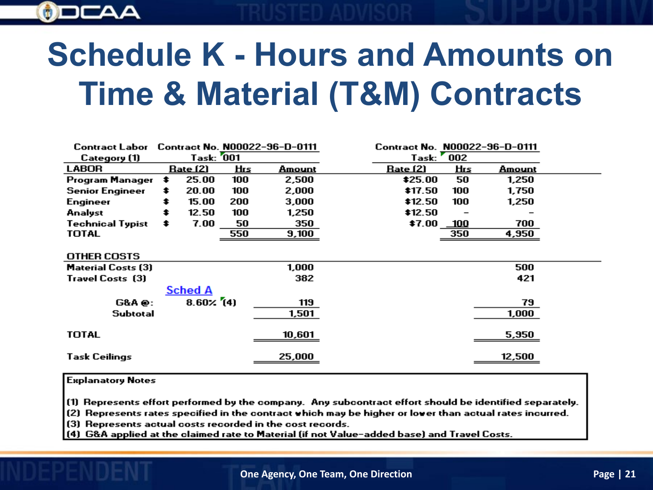

# **Schedule K - Hours and Amounts on Time & Material (T&M) Contracts**

| Contract Labor            |                   |     | Contract No. N00022-96-D-0111 |          |                 | Contract No. N00022-96-D-0111 |  |
|---------------------------|-------------------|-----|-------------------------------|----------|-----------------|-------------------------------|--|
| Category (1)              | <b>Task: 001</b>  |     |                               |          | Task: 002       |                               |  |
| <b>LABOR</b>              | <u> Rate (2)</u>  | яЩ  | Amount                        | Rate (2) | Ящ              | Amount                        |  |
| Program Manager           | \$<br>25.00       | 100 | 2,500                         | \$25.00  | 50              | 1,250                         |  |
| <b>Senior Engineer</b>    | \$<br>20.00       | 100 | 2,000                         | \$17.50  | 100             | 1,750                         |  |
| Engineer                  | 15.00             | 200 | 3,000                         | \$12.50  | 100             | 1,250                         |  |
| Analyst                   | 12.50             | 100 | 1,250                         | \$12.50  |                 |                               |  |
| <b>Technical Typist</b>   | \$<br>7.00        | 50  | 350                           |          | $$7.00$ $\_100$ | 700                           |  |
| <b>TOTAL</b>              |                   | 550 | 9,100                         |          | 350             | 4,950                         |  |
|                           |                   |     |                               |          |                 |                               |  |
| <b>OTHER COSTS</b>        |                   |     |                               |          |                 |                               |  |
| <b>Material Costs (3)</b> |                   |     | 1,000                         |          |                 | 500                           |  |
| <b>Travel Costs (3)</b>   |                   |     | 382                           |          |                 | 421                           |  |
|                           | <b>Sched A</b>    |     |                               |          |                 |                               |  |
| <b>G&amp;A@:</b>          | $8.60 \times (4)$ |     | 119                           |          |                 | 79                            |  |
| Subtotal                  |                   |     | 1,501                         |          |                 | 1,000                         |  |
|                           |                   |     |                               |          |                 |                               |  |
| <b>TOTAL</b>              |                   |     | 10,601                        |          |                 | 5,950                         |  |
| <b>Task Ceilings</b>      |                   |     | 25,000                        |          |                 | 12,500                        |  |

#### **Explanatory Notes**

(1) Represents effort performed by the company. Any subcontract effort should be identified separately.

(2) Represents rates specified in the contract which may be higher or lower than actual rates incurred.

(3) Represents actual costs recorded in the cost records.

(4) G&A applied at the claimed rate to Material (if not Value-added base) and Travel Costs.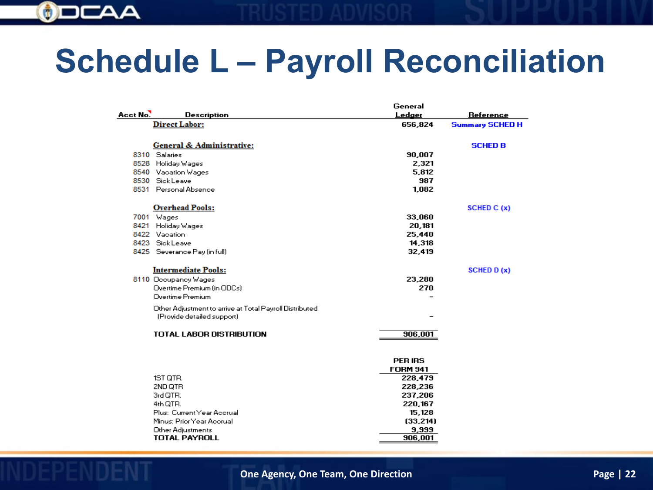

## **Schedule L – Payroll Reconciliation**

|          |                                                         | General         |                        |
|----------|---------------------------------------------------------|-----------------|------------------------|
| Acct No. | <b>Description</b>                                      | Ledger          | <b>Reference</b>       |
|          | <b>Direct Labor:</b>                                    | 656,824         | <b>Summary SCHED H</b> |
|          |                                                         |                 |                        |
|          | General & Administrative:                               |                 | <b>SCHED B</b>         |
|          | 8310 Salaries                                           | 90,007          |                        |
|          | 8528 Holiday Wages                                      | 2,321           |                        |
|          | 8540 Vacation Wages                                     | 5,812           |                        |
|          | 8530 Sick Leave                                         | 987             |                        |
|          | 8531 Personal Absence                                   | 1,082           |                        |
|          | <b>Overhead Pools:</b>                                  |                 | SCHED C (x)            |
|          | 7001 Wages                                              | 33,060          |                        |
| 8421     | Holiday Wages                                           | 20,181          |                        |
|          | 8422 Vacation                                           | 25,440          |                        |
|          | 8423 Sick Leave                                         | 14,318          |                        |
|          | 8425 Severance Pay (in full)                            | 32,419          |                        |
|          | <b>Intermediate Pools:</b>                              |                 | <b>SCHED D (x)</b>     |
|          | 8110 Occupancy Wages                                    | 23,280          |                        |
|          | Overtime Premium (in ODCs)                              | 270             |                        |
|          | Overtime Premium                                        |                 |                        |
|          |                                                         |                 |                        |
|          | Other Adjustment to arrive at Total Payroll Distributed |                 |                        |
|          | (Provide detailed support)                              |                 |                        |
|          | TOTAL LABOR DISTRIBUTION                                | 906,001         |                        |
|          |                                                         |                 |                        |
|          |                                                         | <b>PER IRS</b>  |                        |
|          |                                                         | <b>FORM 941</b> |                        |
|          | 1ST QTR.                                                | 228,479         |                        |
|          | 2ND QTR                                                 | 228,236         |                        |
|          | 3rd QTR.                                                | 237,206         |                        |
|          | 4th QTR.                                                | 220,167         |                        |
|          | Plus: Current Year Accrual                              | 15,128          |                        |
|          | Minus: Prior Year Accrual                               | (33, 214)       |                        |
|          | Other Adjustments                                       | 9,999           |                        |
|          | <b>TOTAL PAYROLL</b>                                    | 906,001         |                        |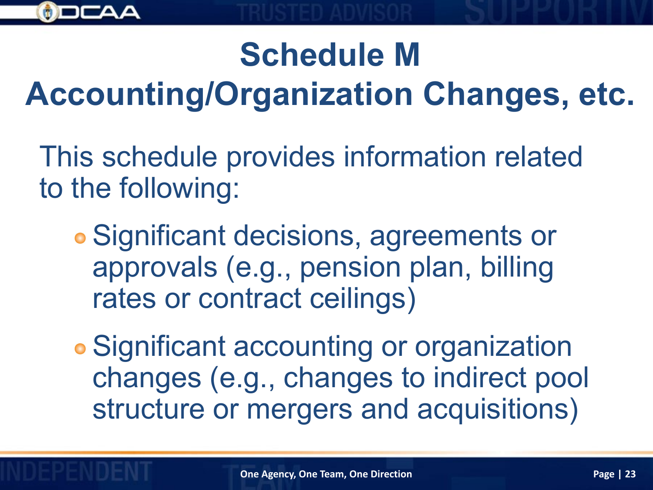

## **Schedule M**

# **Accounting/Organization Changes, etc.**

This schedule provides information related to the following:

Significant decisions, agreements or approvals (e.g., pension plan, billing rates or contract ceilings)

Significant accounting or organization changes (e.g., changes to indirect pool structure or mergers and acquisitions)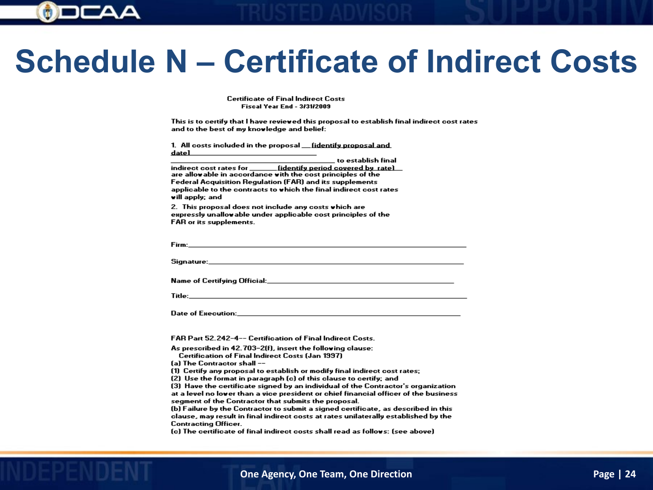

## **Schedule N – Certificate of Indirect Costs**

**Certificate of Final Indirect Costs Fiscal Year End - 3/31/2009** 

This is to certify that I have reviewed this proposal to establish final indirect cost rates and to the best of my knowledge and belief:

1. All costs included in the proposal \_\_ fidentify proposal and datel

to establish final

indirect cost rates for \_\_\_\_\_\_\_\_ (identify period covered by rate) are allowable in accordance with the cost principles of the **Federal Acquisition Regulation (FAR) and its supplements** applicable to the contracts to which the final indirect cost rates will apply; and

2. This proposal does not include any costs which are expressly unallowable under applicable cost principles of the FAR or its supplements.

Firm:

Signature:

Title:

Date of Execution:

FAR Part 52.242-4-- Certification of Final Indirect Costs.

As prescribed in 42.703-2(f), insert the following clause:

Certification of Final Indirect Costs (Jan 1997)

(a) The Contractor shall --

(1) Certify any proposal to establish or modify final indirect cost rates;

(2) Use the format in paragraph (c) of this clause to certify; and

(3) Have the certificate signed by an individual of the Contractor's organization at a level no lover than a vice president or chief financial officer of the business segment of the Contractor that submits the proposal.

(b) Failure by the Contractor to submit a signed certificate, as described in this clause, may result in final indirect costs at rates unilaterally established by the **Contracting Officer.** 

(c) The certificate of final indirect costs shall read as follows: (see above)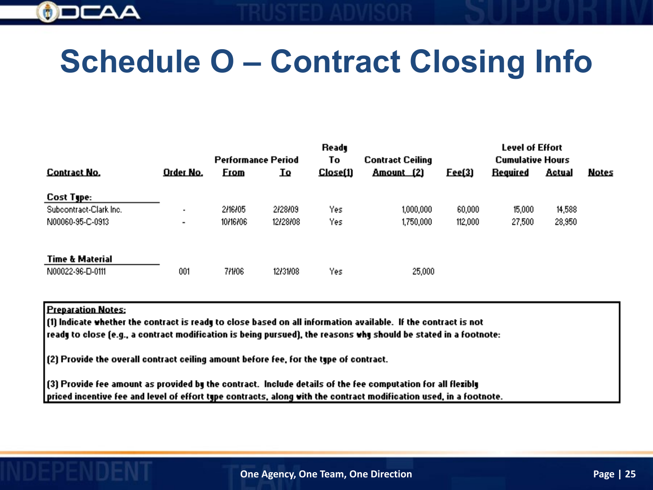

## **Schedule O – Contract Closing Info**

|                        | Ready          |                           |          |          | Level of Effort         |                         |                 |        |       |
|------------------------|----------------|---------------------------|----------|----------|-------------------------|-------------------------|-----------------|--------|-------|
|                        |                | <b>Performance Period</b> |          | To       | <b>Contract Ceiling</b> | <b>Cumulative Hours</b> |                 |        |       |
| <b>Contract No.</b>    | Order No.      | Erom                      | IΩ       | Close(1) | Amount (2)              | Eee(3)                  | <b>Required</b> | Actual | Notes |
| Cost Type:             |                |                           |          |          |                         |                         |                 |        |       |
| Subcontract-Clark Inc. | ٠              | 2/16/05                   | 2/28/09  | Yes      | 1,000,000               | 60,000                  | 15,000          | 14,588 |       |
| N00060-95-C-0913       | $\blacksquare$ | 30131101                  | 12/28/08 | Yes      | 1,750,000               | 112,000                 | 27,500          | 28,950 |       |
| Time & Material        |                |                           |          |          |                         |                         |                 |        |       |
| N00022-96-D-0111       | 001            | 7/1/06                    | 12/31/08 | Yes      | 25,000                  |                         |                 |        |       |

#### **Preparation Notes:**

(1) Indicate whether the contract is ready to close based on all information available. If the contract is not ready to close (e.g., a contract modification is being pursued), the reasons why should be stated in a footnote:

(2) Provide the overall contract ceiling amount before fee, for the type of contract.

(3) Provide fee amount as provided by the contract. Include details of the fee computation for all flexibly priced incentive fee and level of effort type contracts, along with the contract modification used, in a footnote.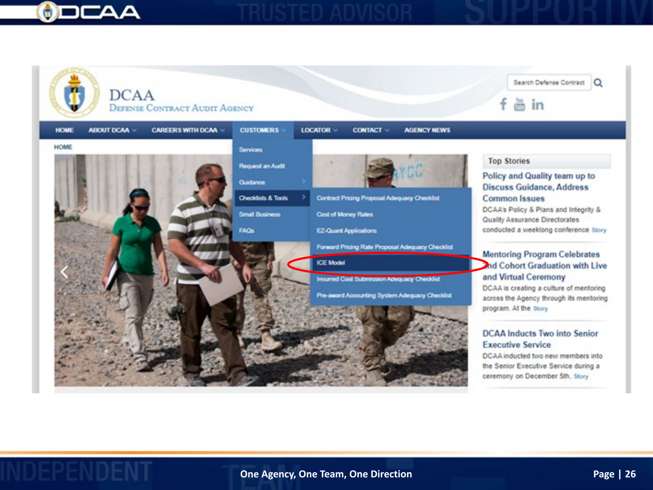

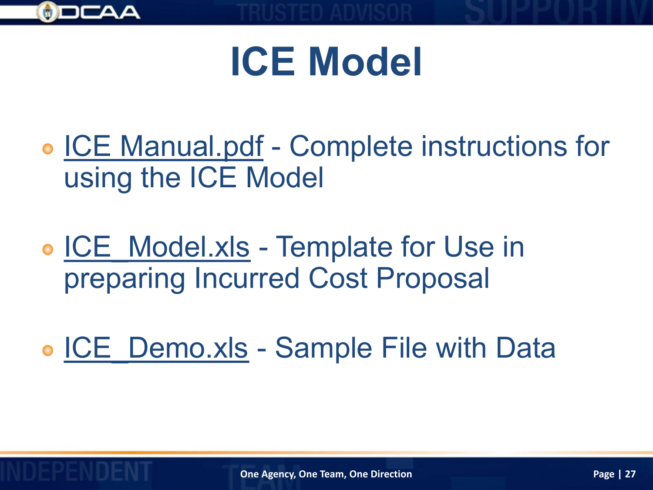

# **ICE Model**

- ICE Manual.pdf Complete instructions for using the ICE Model
- ICE Model.xls Template for Use in preparing Incurred Cost Proposal
- ICE Demo.xls Sample File with Data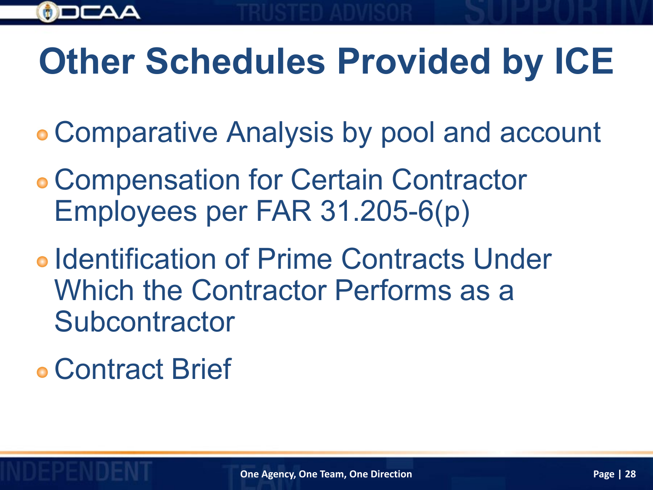

# **Other Schedules Provided by ICE**

- Comparative Analysis by pool and account
- Compensation for Certain Contractor Employees per FAR 31.205-6(p)
- o Identification of Prime Contracts Under Which the Contractor Performs as a Subcontractor
- Contract Brief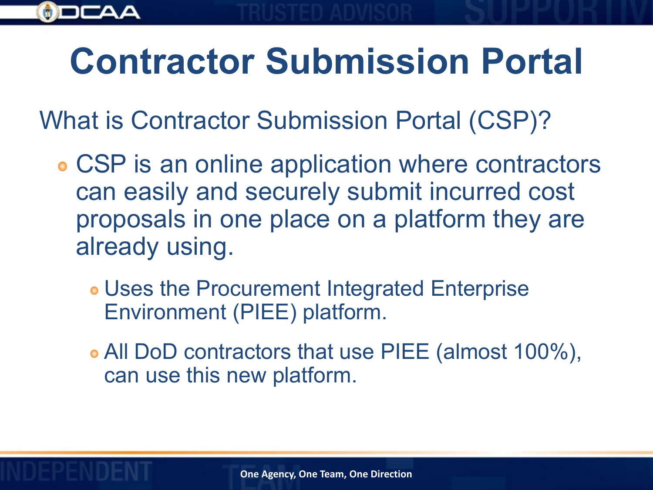# **Contractor Submission Portal**

What is Contractor Submission Portal (CSP)?

- CSP is an online application where contractors can easily and securely submit incurred cost proposals in one place on a platform they are already using.
	- Uses the Procurement Integrated Enterprise Environment (PIEE) platform.
	- All DoD contractors that use PIEE (almost 100%), can use this new platform.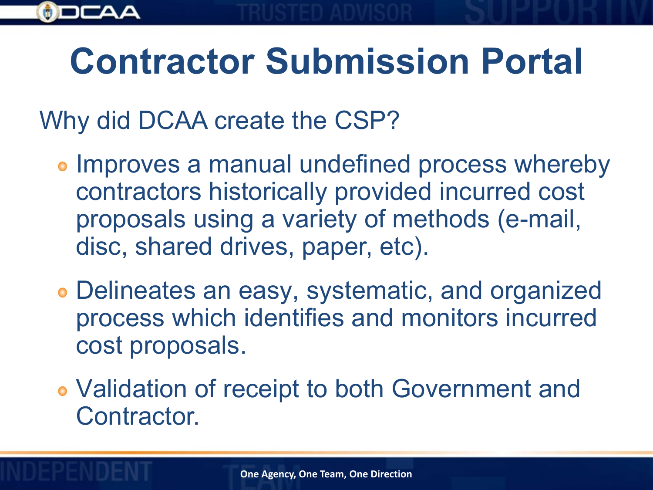# **Contractor Submission Portal**

Why did DCAA create the CSP?

- **Improves a manual undefined process whereby** contractors historically provided incurred cost proposals using a variety of methods (e-mail, disc, shared drives, paper, etc).
- Delineates an easy, systematic, and organized process which identifies and monitors incurred cost proposals.
- Validation of receipt to both Government and Contractor.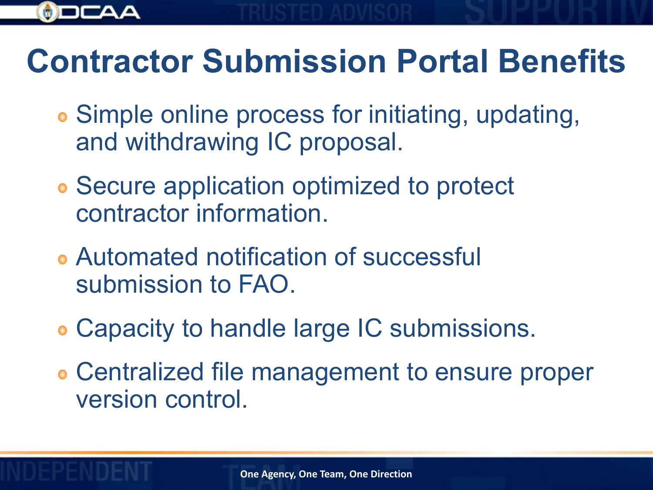

## **Contractor Submission Portal Benefits**

- Simple online process for initiating, updating, and withdrawing IC proposal.
- Secure application optimized to protect contractor information.
- Automated notification of successful submission to FAO.
- Capacity to handle large IC submissions.
- Centralized file management to ensure proper version control.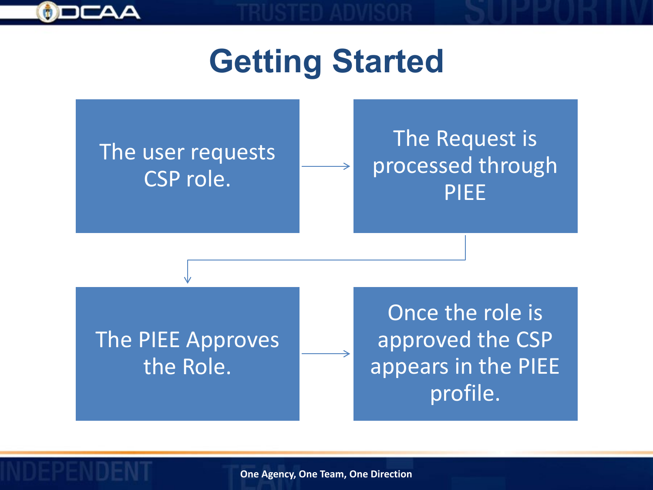

# **Getting Started**

### The user requests CSP role.

### The Request is processed through PIEE

The PIEE Approves the Role.

Once the role is approved the CSP appears in the PIEE profile.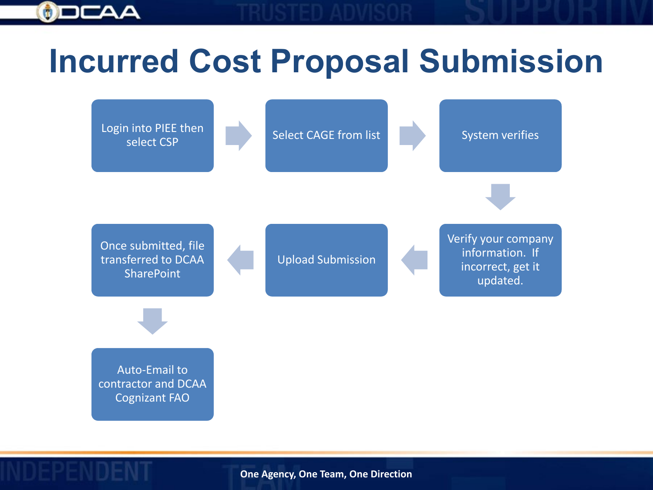

## **Incurred Cost Proposal Submission**

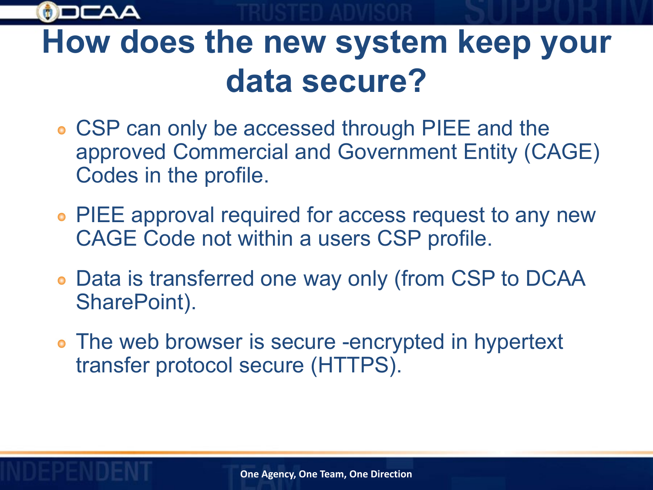

## **How does the new system keep your data secure?**

- CSP can only be accessed through PIEE and the approved Commercial and Government Entity (CAGE) Codes in the profile.
- PIEE approval required for access request to any new CAGE Code not within a users CSP profile.
- Data is transferred one way only (from CSP to DCAA SharePoint).
- The web browser is secure -encrypted in hypertext transfer protocol secure (HTTPS).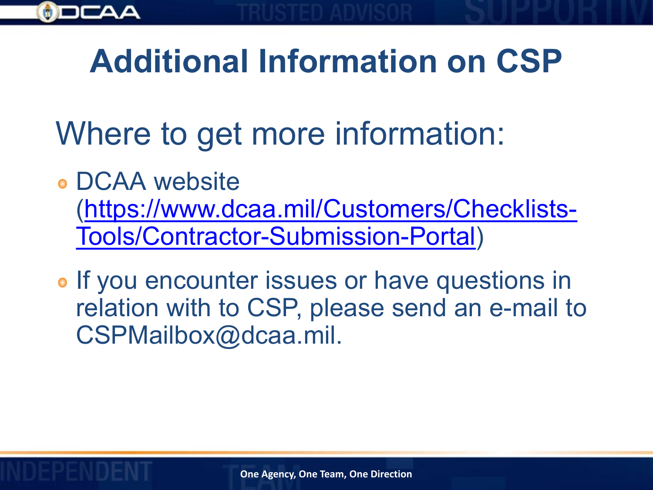

# **Additional Information on CSP**

- Where to get more information:
- DCAA website [\(https://www.dcaa.mil/Customers/Checklists-](https://www.dcaa.mil/Customers/Checklists-Tools/Contractor-Submission-Portal)Tools/Contractor-Submission-Portal)
- **o** If you encounter issues or have questions in relation with to CSP, please send an e-mail to CSPMailbox@dcaa.mil.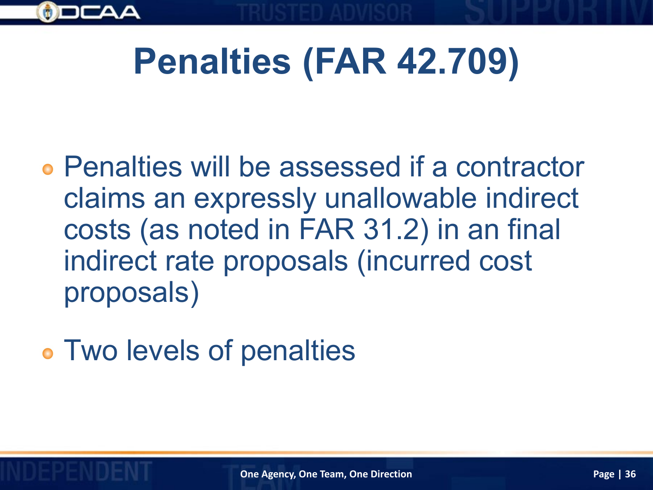

# **Penalties (FAR 42.709)**

- Penalties will be assessed if a contractor claims an expressly unallowable indirect costs (as noted in FAR 31.2) in an final indirect rate proposals (incurred cost proposals)
- Two levels of penalties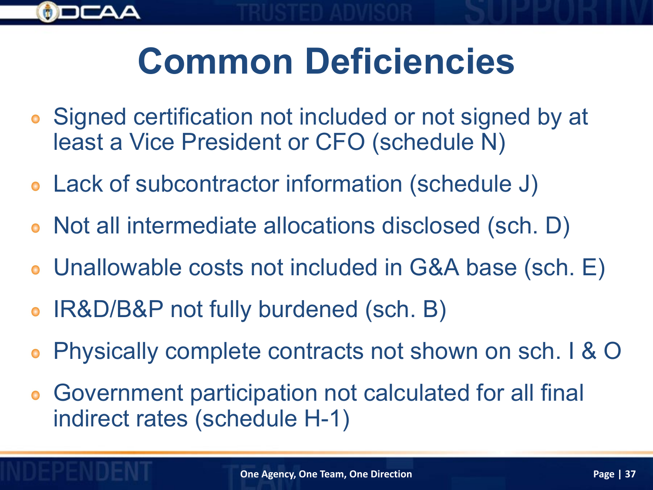

# **Common Deficiencies**

- Signed certification not included or not signed by at  $\bullet$ least a Vice President or CFO (schedule N)
- Lack of subcontractor information (schedule J)
- Not all intermediate allocations disclosed (sch. D)
- Unallowable costs not included in G&A base (sch. E)  $\bullet$
- IR&D/B&P not fully burdened (sch. B)  $\bullet$
- Physically complete contracts not shown on sch. I & O  $\bullet$
- Government participation not calculated for all final indirect rates (schedule H-1)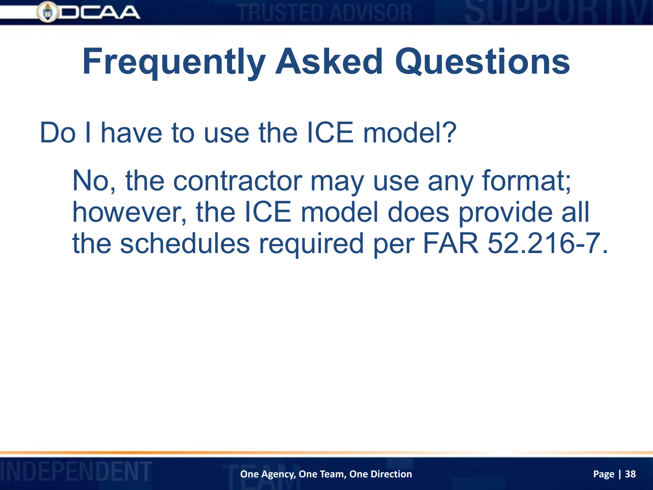

Do I have to use the ICE model?

No, the contractor may use any format; however, the ICE model does provide all the schedules required per FAR 52.216-7.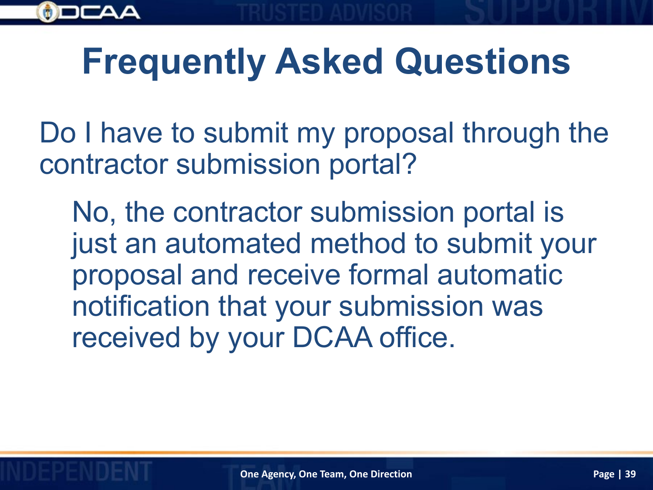

Do I have to submit my proposal through the contractor submission portal?

No, the contractor submission portal is just an automated method to submit your proposal and receive formal automatic notification that your submission was received by your DCAA office.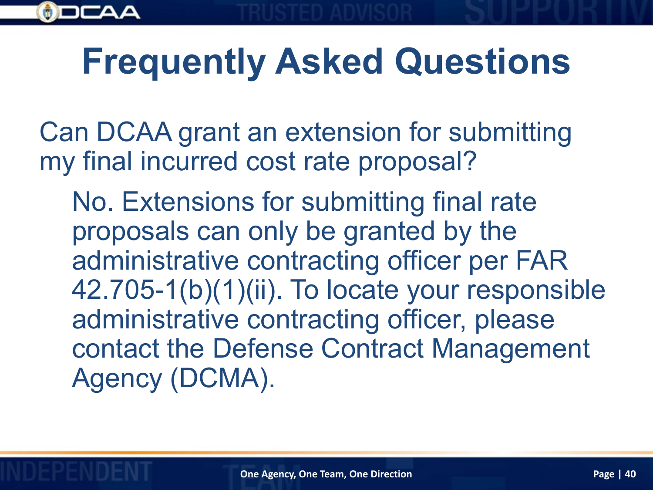

Can DCAA grant an extension for submitting my final incurred cost rate proposal?

No. Extensions for submitting final rate proposals can only be granted by the administrative contracting officer per FAR 42.705-1(b)(1)(ii). To locate your responsible administrative contracting officer, please contact the Defense Contract Management Agency (DCMA).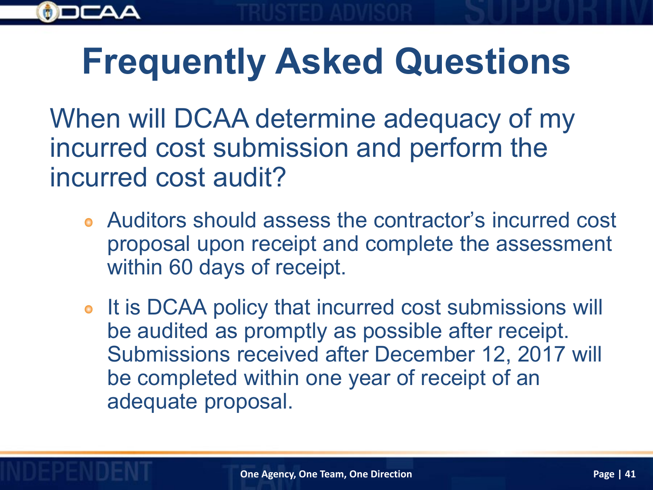

When will DCAA determine adequacy of my incurred cost submission and perform the incurred cost audit?

- Auditors should assess the contractor's incurred cost proposal upon receipt and complete the assessment within 60 days of receipt.
- It is DCAA policy that incurred cost submissions will  $\bullet$ be audited as promptly as possible after receipt. Submissions received after December 12, 2017 will be completed within one year of receipt of an adequate proposal.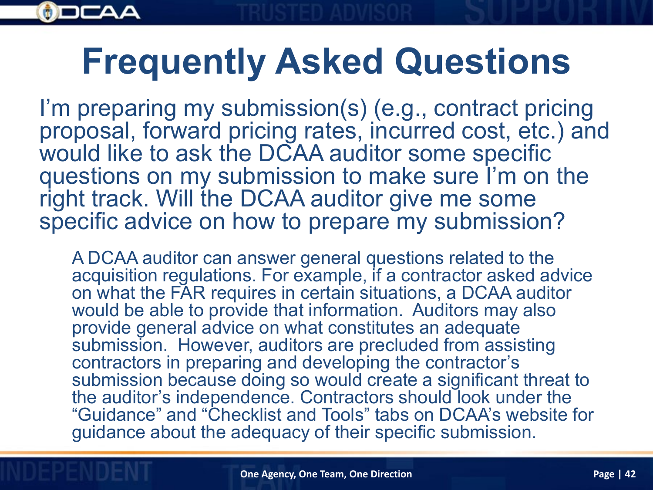

I'm preparing my submission(s) (e.g., contract pricing proposal, forward pricing rates, incurred cost, etc.) and would like to ask the DCAA auditor some specific questions on my submission to make sure I'm on the right track. Will the DCAA auditor give me some specific advice on how to prepare my submission?

A DCAA auditor can answer general questions related to the acquisition regulations. For example, if a contractor asked advice on what the FAR requires in certain situations, a DCAA auditor would be able to provide that information. Auditors may also provide general advice on what constitutes an adequate submission. However, auditors are precluded from assisting contractors in preparing and developing the contractor's submission because doing so would create a significant threat to the auditor's independence. Contractors should look under the "Guidance" and "Checklist and Tools" tabs on DCAA's website for guidance about the adequacy of their specific submission.